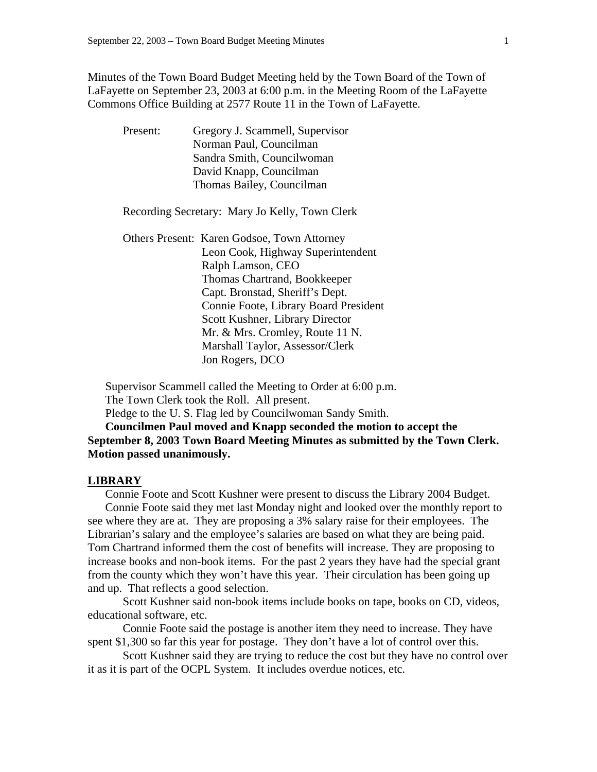Minutes of the Town Board Budget Meeting held by the Town Board of the Town of LaFayette on September 23, 2003 at 6:00 p.m. in the Meeting Room of the LaFayette Commons Office Building at 2577 Route 11 in the Town of LaFayette.

| Present: | Gregory J. Scammell, Supervisor |
|----------|---------------------------------|
|          | Norman Paul, Councilman         |
|          | Sandra Smith, Councilwoman      |
|          | David Knapp, Councilman         |
|          | Thomas Bailey, Councilman       |

Recording Secretary: Mary Jo Kelly, Town Clerk

 Others Present: Karen Godsoe, Town Attorney Leon Cook, Highway Superintendent Ralph Lamson, CEO Thomas Chartrand, Bookkeeper Capt. Bronstad, Sheriff's Dept. Connie Foote, Library Board President Scott Kushner, Library Director Mr. & Mrs. Cromley, Route 11 N. Marshall Taylor, Assessor/Clerk Jon Rogers, DCO

Supervisor Scammell called the Meeting to Order at 6:00 p.m. The Town Clerk took the Roll. All present.

Pledge to the U. S. Flag led by Councilwoman Sandy Smith.

**Councilmen Paul moved and Knapp seconded the motion to accept the September 8, 2003 Town Board Meeting Minutes as submitted by the Town Clerk. Motion passed unanimously.** 

#### **LIBRARY**

Connie Foote and Scott Kushner were present to discuss the Library 2004 Budget. Connie Foote said they met last Monday night and looked over the monthly report to see where they are at. They are proposing a 3% salary raise for their employees. The Librarian's salary and the employee's salaries are based on what they are being paid. Tom Chartrand informed them the cost of benefits will increase. They are proposing to increase books and non-book items. For the past 2 years they have had the special grant from the county which they won't have this year. Their circulation has been going up and up. That reflects a good selection.

 Scott Kushner said non-book items include books on tape, books on CD, videos, educational software, etc.

 Connie Foote said the postage is another item they need to increase. They have spent \$1,300 so far this year for postage. They don't have a lot of control over this.

 Scott Kushner said they are trying to reduce the cost but they have no control over it as it is part of the OCPL System. It includes overdue notices, etc.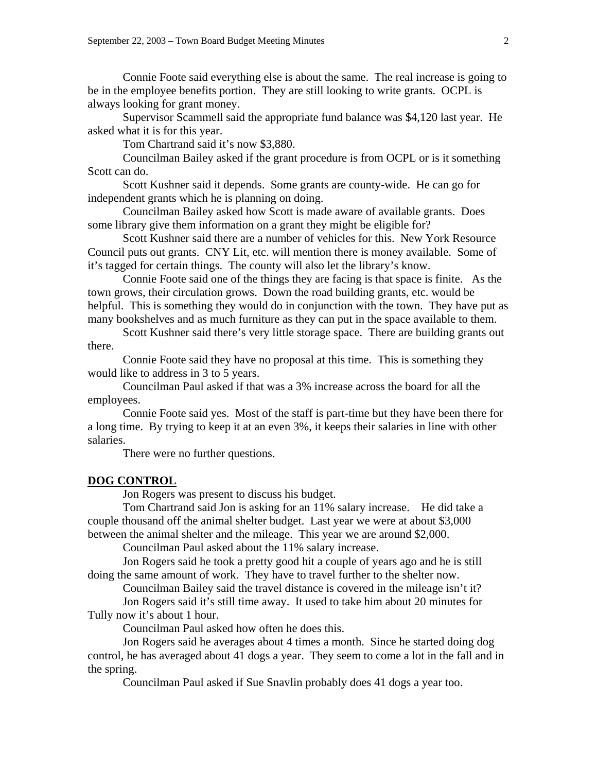Connie Foote said everything else is about the same. The real increase is going to be in the employee benefits portion. They are still looking to write grants. OCPL is always looking for grant money.

 Supervisor Scammell said the appropriate fund balance was \$4,120 last year. He asked what it is for this year.

Tom Chartrand said it's now \$3,880.

 Councilman Bailey asked if the grant procedure is from OCPL or is it something Scott can do.

 Scott Kushner said it depends. Some grants are county-wide. He can go for independent grants which he is planning on doing.

 Councilman Bailey asked how Scott is made aware of available grants. Does some library give them information on a grant they might be eligible for?

 Scott Kushner said there are a number of vehicles for this. New York Resource Council puts out grants. CNY Lit, etc. will mention there is money available. Some of it's tagged for certain things. The county will also let the library's know.

 Connie Foote said one of the things they are facing is that space is finite. As the town grows, their circulation grows. Down the road building grants, etc. would be helpful. This is something they would do in conjunction with the town. They have put as many bookshelves and as much furniture as they can put in the space available to them.

 Scott Kushner said there's very little storage space. There are building grants out there.

 Connie Foote said they have no proposal at this time. This is something they would like to address in 3 to 5 years.

 Councilman Paul asked if that was a 3% increase across the board for all the employees.

 Connie Foote said yes. Most of the staff is part-time but they have been there for a long time. By trying to keep it at an even 3%, it keeps their salaries in line with other salaries.

There were no further questions.

## **DOG CONTROL**

Jon Rogers was present to discuss his budget.

 Tom Chartrand said Jon is asking for an 11% salary increase. He did take a couple thousand off the animal shelter budget. Last year we were at about \$3,000 between the animal shelter and the mileage. This year we are around \$2,000.

Councilman Paul asked about the 11% salary increase.

 Jon Rogers said he took a pretty good hit a couple of years ago and he is still doing the same amount of work. They have to travel further to the shelter now.

 Councilman Bailey said the travel distance is covered in the mileage isn't it? Jon Rogers said it's still time away. It used to take him about 20 minutes for

Tully now it's about 1 hour.

Councilman Paul asked how often he does this.

 Jon Rogers said he averages about 4 times a month. Since he started doing dog control, he has averaged about 41 dogs a year. They seem to come a lot in the fall and in the spring.

Councilman Paul asked if Sue Snavlin probably does 41 dogs a year too.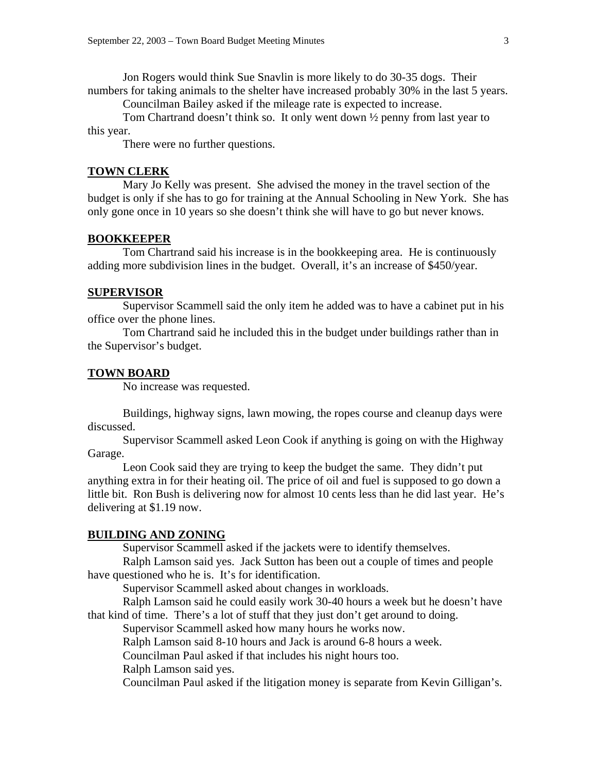Jon Rogers would think Sue Snavlin is more likely to do 30-35 dogs. Their numbers for taking animals to the shelter have increased probably 30% in the last 5 years.

Councilman Bailey asked if the mileage rate is expected to increase.

 Tom Chartrand doesn't think so. It only went down ½ penny from last year to this year.

There were no further questions.

# **TOWN CLERK**

 Mary Jo Kelly was present. She advised the money in the travel section of the budget is only if she has to go for training at the Annual Schooling in New York. She has only gone once in 10 years so she doesn't think she will have to go but never knows.

# **BOOKKEEPER**

 Tom Chartrand said his increase is in the bookkeeping area. He is continuously adding more subdivision lines in the budget. Overall, it's an increase of \$450/year.

## **SUPERVISOR**

 Supervisor Scammell said the only item he added was to have a cabinet put in his office over the phone lines.

 Tom Chartrand said he included this in the budget under buildings rather than in the Supervisor's budget.

#### **TOWN BOARD**

No increase was requested.

 Buildings, highway signs, lawn mowing, the ropes course and cleanup days were discussed.

 Supervisor Scammell asked Leon Cook if anything is going on with the Highway Garage.

 Leon Cook said they are trying to keep the budget the same. They didn't put anything extra in for their heating oil. The price of oil and fuel is supposed to go down a little bit. Ron Bush is delivering now for almost 10 cents less than he did last year. He's delivering at \$1.19 now.

### **BUILDING AND ZONING**

Supervisor Scammell asked if the jackets were to identify themselves.

 Ralph Lamson said yes. Jack Sutton has been out a couple of times and people have questioned who he is. It's for identification.

Supervisor Scammell asked about changes in workloads.

 Ralph Lamson said he could easily work 30-40 hours a week but he doesn't have that kind of time. There's a lot of stuff that they just don't get around to doing.

Supervisor Scammell asked how many hours he works now.

Ralph Lamson said 8-10 hours and Jack is around 6-8 hours a week.

Councilman Paul asked if that includes his night hours too.

Ralph Lamson said yes.

Councilman Paul asked if the litigation money is separate from Kevin Gilligan's.